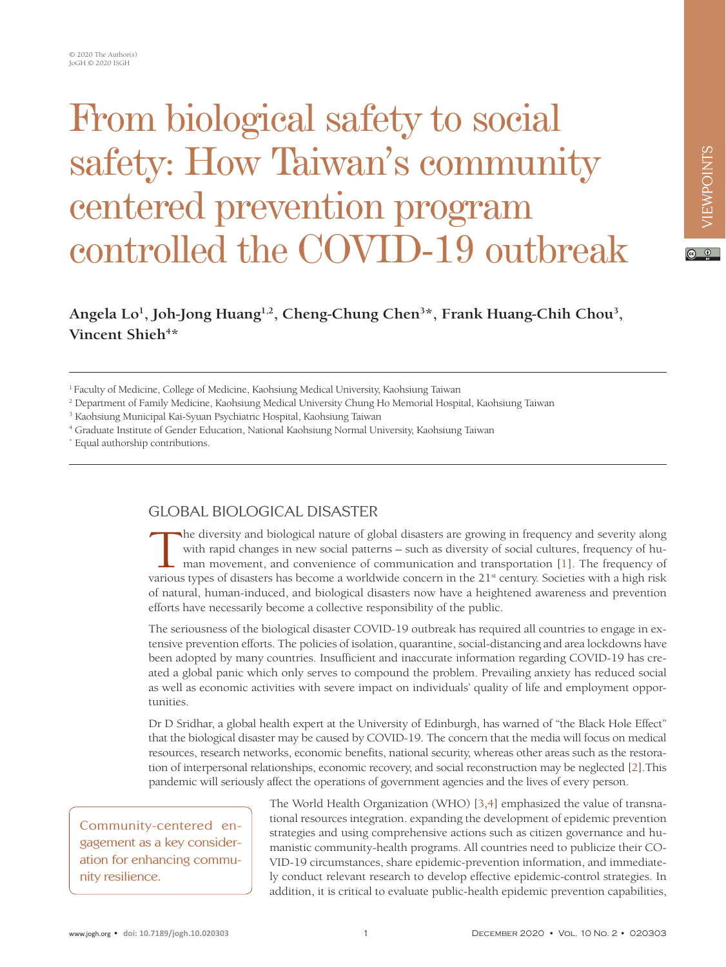# From biological safety to social safety: How Taiwan's community centered prevention program controlled the COVID-19 outbreak

Angela Lo<sup>1</sup>, Joh-Jong Huang<sup>1,2</sup>, Cheng-Chung Chen<sup>3\*</sup>, Frank Huang-Chih Chou<sup>3</sup>, Vincent Shieh<sup>4\*</sup>

1 Faculty of Medicine, College of Medicine, Kaohsiung Medical University, Kaohsiung Taiwan

2 Department of Family Medicine, Kaohsiung Medical University Chung Ho Memorial Hospital, Kaohsiung Taiwan

<sup>3</sup> Kaohsiung Municipal Kai-Syuan Psychiatric Hospital, Kaohsiung Taiwan

4 Graduate Institute of Gender Education, National Kaohsiung Normal University, Kaohsiung Taiwan

\* Equal authorship contributions.

# GLOBAL BIOLOGICAL DISASTER

The diversity and biological nature of global disasters are growing in frequency and severity along<br>with rapid changes in new social patterns – such as diversity of social cultures, frequency of human movement, and conveni with rapid changes in new social patterns – such as diversity of social cultures, frequency of human movement, and convenience of communication and transportation [1]. The frequency of various types of disasters has become a worldwide concern in the 21<sup>st</sup> century. Societies with a high risk of natural, human-induced, and biological disasters now have a heightened awareness and prevention efforts have necessarily become a collective responsibility of the public.

The seriousness of the biological disaster COVID-19 outbreak has required all countries to engage in extensive prevention efforts. The policies of isolation, quarantine, social-distancing and area lockdowns have been adopted by many countries. Insufficient and inaccurate information regarding COVID-19 has created a global panic which only serves to compound the problem. Prevailing anxiety has reduced social as well as economic activities with severe impact on individuals' quality of life and employment opportunities.

Dr D Sridhar, a global health expert at the University of Edinburgh, has warned of "the Black Hole Effect" that the biological disaster may be caused by COVID-19. The concern that the media will focus on medical resources, research networks, economic benefits, national security, whereas other areas such as the restoration of interpersonal relationships, economic recovery, and social reconstruction may be neglected [\[2\]](#page-2-1).This pandemic will seriously affect the operations of government agencies and the lives of every person.

Community-centered engagement as a key consideration for enhancing community resilience.

The World Health Organization (WHO) [\[3](#page-2-2)[,4](#page-2-3)] emphasized the value of transnational resources integration. expanding the development of epidemic prevention strategies and using comprehensive actions such as citizen governance and humanistic community-health programs. All countries need to publicize their CO-VID-19 circumstances, share epidemic-prevention information, and immediately conduct relevant research to develop effective epidemic-control strategies. In addition, it is critical to evaluate public-health epidemic prevention capabilities,

 $\odot$   $\odot$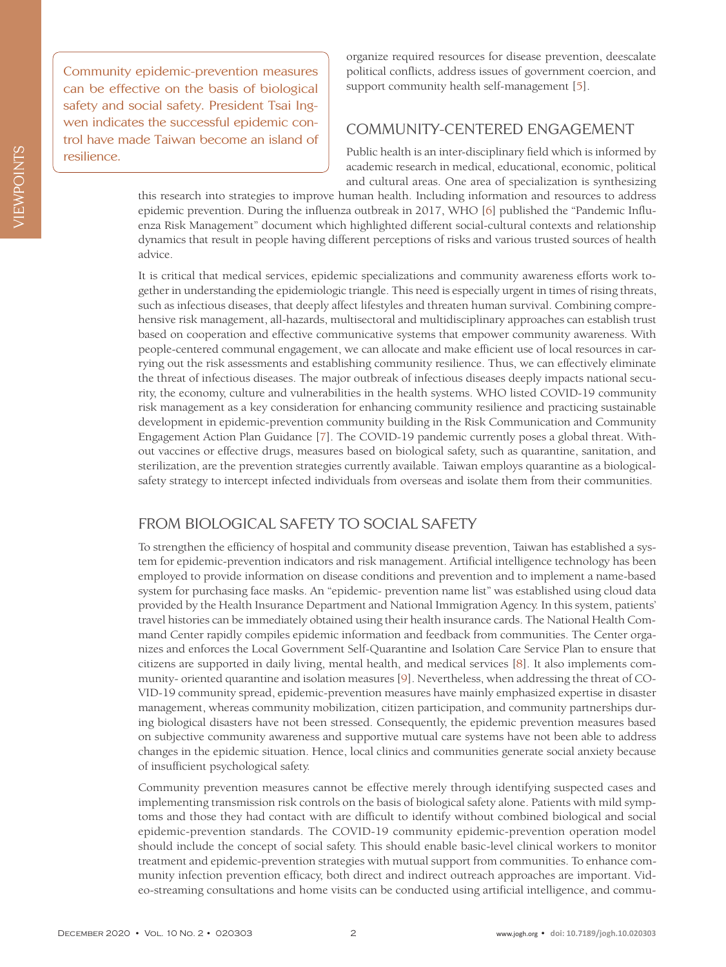Community epidemic-prevention measures can be effective on the basis of biological safety and social safety. President Tsai Ingwen indicates the successful epidemic control have made Taiwan become an island of resilience.

organize required resources for disease prevention, deescalate political conflicts, address issues of government coercion, and support community health self-management [[5](#page-2-4)].

#### COMMUNITY-CENTERED ENGAGEMENT

Public health is an inter-disciplinary field which is informed by academic research in medical, educational, economic, political and cultural areas. One area of specialization is synthesizing

this research into strategies to improve human health. Including information and resources to address epidemic prevention. During the influenza outbreak in 2017, WHO [\[6\]](#page-2-5) published the "Pandemic Influenza Risk Management" document which highlighted different social-cultural contexts and relationship dynamics that result in people having different perceptions of risks and various trusted sources of health advice.

It is critical that medical services, epidemic specializations and community awareness efforts work together in understanding the epidemiologic triangle. This need is especially urgent in times of rising threats, such as infectious diseases, that deeply affect lifestyles and threaten human survival. Combining comprehensive risk management, all-hazards, multisectoral and multidisciplinary approaches can establish trust based on cooperation and effective communicative systems that empower community awareness. With people-centered communal engagement, we can allocate and make efficient use of local resources in carrying out the risk assessments and establishing community resilience. Thus, we can effectively eliminate the threat of infectious diseases. The major outbreak of infectious diseases deeply impacts national security, the economy, culture and vulnerabilities in the health systems. WHO listed COVID-19 community risk management as a key consideration for enhancing community resilience and practicing sustainable development in epidemic-prevention community building in the Risk Communication and Community Engagement Action Plan Guidance [\[7\]](#page-3-0). The COVID-19 pandemic currently poses a global threat. Without vaccines or effective drugs, measures based on biological safety, such as quarantine, sanitation, and sterilization, are the prevention strategies currently available. Taiwan employs quarantine as a biologicalsafety strategy to intercept infected individuals from overseas and isolate them from their communities.

### FROM BIOLOGICAL SAFETY TO SOCIAL SAFETY

To strengthen the efficiency of hospital and community disease prevention, Taiwan has established a system for epidemic-prevention indicators and risk management. Artificial intelligence technology has been employed to provide information on disease conditions and prevention and to implement a name-based system for purchasing face masks. An "epidemic- prevention name list" was established using cloud data provided by the Health Insurance Department and National Immigration Agency. In this system, patients' travel histories can be immediately obtained using their health insurance cards. The National Health Command Center rapidly compiles epidemic information and feedback from communities. The Center organizes and enforces the Local Government Self-Quarantine and Isolation Care Service Plan to ensure that citizens are supported in daily living, mental health, and medical services [[8\]](#page-3-1). It also implements community- oriented quarantine and isolation measures [\[9](#page-3-2)]. Nevertheless, when addressing the threat of CO-VID-19 community spread, epidemic-prevention measures have mainly emphasized expertise in disaster management, whereas community mobilization, citizen participation, and community partnerships during biological disasters have not been stressed. Consequently, the epidemic prevention measures based on subjective community awareness and supportive mutual care systems have not been able to address changes in the epidemic situation. Hence, local clinics and communities generate social anxiety because of insufficient psychological safety.

Community prevention measures cannot be effective merely through identifying suspected cases and implementing transmission risk controls on the basis of biological safety alone. Patients with mild symptoms and those they had contact with are difficult to identify without combined biological and social epidemic-prevention standards. The COVID-19 community epidemic-prevention operation model should include the concept of social safety. This should enable basic-level clinical workers to monitor treatment and epidemic-prevention strategies with mutual support from communities. To enhance community infection prevention efficacy, both direct and indirect outreach approaches are important. Video-streaming consultations and home visits can be conducted using artificial intelligence, and commu-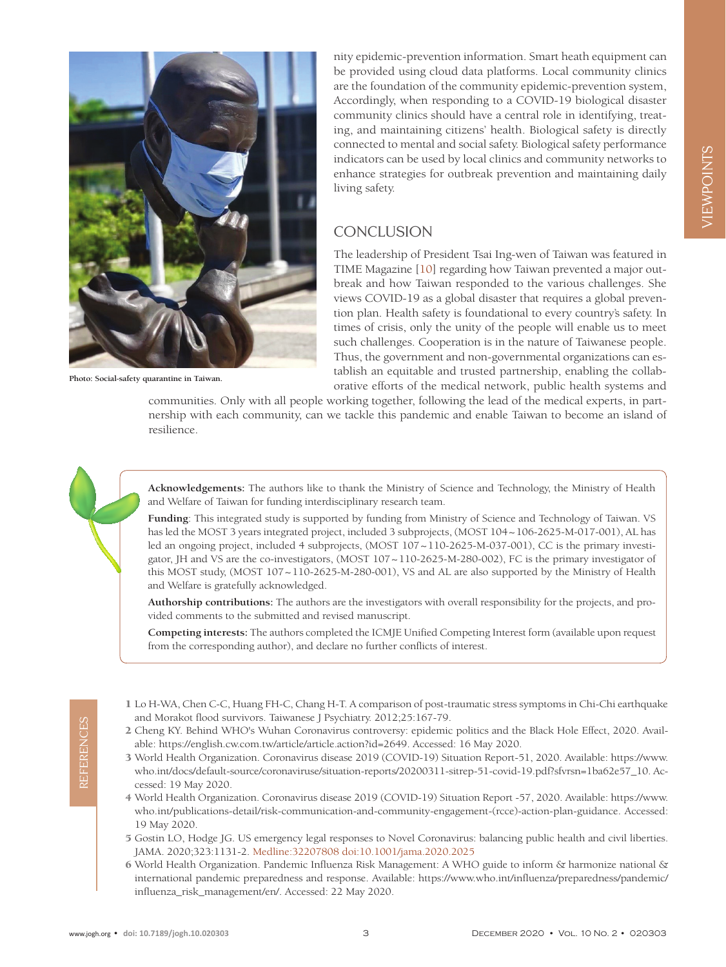

**Photo: Social-safety quarantine in Taiwan.**

nity epidemic-prevention information. Smart heath equipment can be provided using cloud data platforms. Local community clinics are the foundation of the community epidemic-prevention system, Accordingly, when responding to a COVID-19 biological disaster community clinics should have a central role in identifying, treating, and maintaining citizens' health. Biological safety is directly connected to mental and social safety. Biological safety performance indicators can be used by local clinics and community networks to enhance strategies for outbreak prevention and maintaining daily living safety.

## **CONCLUSION**

The leadership of President Tsai Ing-wen of Taiwan was featured in TIME Magazine [\[10\]](#page-3-3) regarding how Taiwan prevented a major outbreak and how Taiwan responded to the various challenges. She views COVID-19 as a global disaster that requires a global prevention plan. Health safety is foundational to every country's safety. In times of crisis, only the unity of the people will enable us to meet such challenges. Cooperation is in the nature of Taiwanese people. Thus, the government and non-governmental organizations can establish an equitable and trusted partnership, enabling the collaborative efforts of the medical network, public health systems and

communities. Only with all people working together, following the lead of the medical experts, in partnership with each community, can we tackle this pandemic and enable Taiwan to become an island of resilience.

**Acknowledgements:** The authors like to thank the Ministry of Science and Technology, the Ministry of Health and Welfare of Taiwan for funding interdisciplinary research team.

**Funding**: This integrated study is supported by funding from Ministry of Science and Technology of Taiwan. VS has led the MOST 3 years integrated project, included 3 subprojects, (MOST 104~106-2625-M-017-001), AL has led an ongoing project, included 4 subprojects, (MOST  $107 \sim 110-2625$ -M-037-001), CC is the primary investigator, JH and VS are the co-investigators, (MOST 107~110-2625-M-280-002), FC is the primary investigator of this MOST study, (MOST 107~110-2625-M-280-001), VS and AL are also supported by the Ministry of Health and Welfare is gratefully acknowledged.

**Authorship contributions:** The authors are the investigators with overall responsibility for the projects, and provided comments to the submitted and revised manuscript.

**Competing interests:** The authors completed the ICMJE Unified Competing Interest form (available upon request from the corresponding author), and declare no further conflicts of interest.

REFERENCES

REFERENCES

- <span id="page-2-0"></span>1 Lo H-WA, Chen C-C, Huang FH-C, Chang H-T. A comparison of post-traumatic stress symptoms in Chi-Chi earthquake and Morakot flood survivors. Taiwanese J Psychiatry. 2012;25:167-79.
- <span id="page-2-1"></span>2 Cheng KY. Behind WHO's Wuhan Coronavirus controversy: epidemic politics and the Black Hole Effect, 2020. Available: https://english.cw.com.tw/article/article.action?id=2649. Accessed: 16 May 2020.
- <span id="page-2-2"></span>3 World Health Organization. Coronavirus disease 2019 (COVID-19) Situation Report-51, 2020. Available: [https://www.](https://www.who.int/docs/default-source/coronaviruse/situation-reports/20200311-sitrep-51-covid-19.pdf?sfvrsn=1ba62e57_10) [who.int/docs/default-source/coronaviruse/situation-reports/20200311-sitrep-51-covid-19.pdf?sfvrsn=1ba62e57\\_10.](https://www.who.int/docs/default-source/coronaviruse/situation-reports/20200311-sitrep-51-covid-19.pdf?sfvrsn=1ba62e57_10) Accessed: 19 May 2020.
- <span id="page-2-3"></span>4 World Health Organization. Coronavirus disease 2019 (COVID-19) Situation Report -57, 2020. Available: [https://www.](https://www.who.int/publications-detail/risk-communication-and-community-engagement-(rcce)-action-plan-guidance) [who.int/publications-detail/risk-communication-and-community-engagement-\(rcce\)-action-plan-guidance](https://www.who.int/publications-detail/risk-communication-and-community-engagement-(rcce)-action-plan-guidance). Accessed: 19 May 2020.
- <span id="page-2-4"></span>5 Gostin LO, Hodge JG. US emergency legal responses to Novel Coronavirus: balancing public health and civil liberties. JAMA. 2020;323:1131-2. Medline:32207808 doi:10.1001/jama.2020.2025
- <span id="page-2-5"></span>6 World Health Organization. Pandemic Influenza Risk Management: A WHO guide to inform & harmonize national & international pandemic preparedness and response. Available: [https://www.who.int/influenza/preparedness/pandemic/](https://www.who.int/influenza/preparedness/pandemic/influenza_risk_management/en/) [influenza\\_risk\\_management/en/](https://www.who.int/influenza/preparedness/pandemic/influenza_risk_management/en/). Accessed: 22 May 2020.